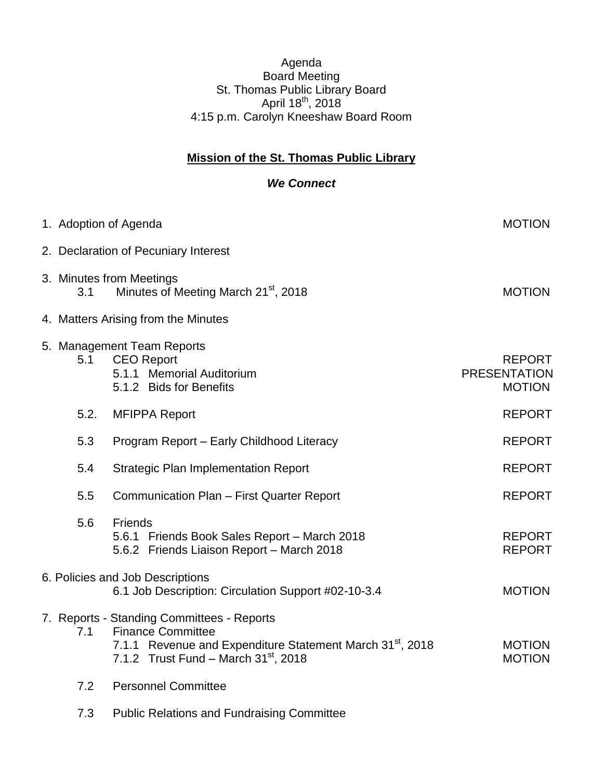## Agenda Board Meeting St. Thomas Public Library Board April 18<sup>th</sup>, 2018 4:15 p.m. Carolyn Kneeshaw Board Room

## **Mission of the St. Thomas Public Library**

## *We Connect*

|                                     | 1. Adoption of Agenda                                                                                                                                                                        | <b>MOTION</b>                                         |  |  |
|-------------------------------------|----------------------------------------------------------------------------------------------------------------------------------------------------------------------------------------------|-------------------------------------------------------|--|--|
|                                     | 2. Declaration of Pecuniary Interest                                                                                                                                                         |                                                       |  |  |
| 3.1                                 | 3. Minutes from Meetings<br>Minutes of Meeting March 21 <sup>st</sup> , 2018                                                                                                                 | <b>MOTION</b>                                         |  |  |
| 4. Matters Arising from the Minutes |                                                                                                                                                                                              |                                                       |  |  |
| 5.1                                 | 5. Management Team Reports<br><b>CEO Report</b><br>5.1.1 Memorial Auditorium<br>5.1.2 Bids for Benefits                                                                                      | <b>REPORT</b><br><b>PRESENTATION</b><br><b>MOTION</b> |  |  |
| 5.2.                                | <b>MFIPPA Report</b>                                                                                                                                                                         | <b>REPORT</b>                                         |  |  |
| 5.3                                 | Program Report - Early Childhood Literacy                                                                                                                                                    | <b>REPORT</b>                                         |  |  |
| 5.4                                 | <b>Strategic Plan Implementation Report</b>                                                                                                                                                  | <b>REPORT</b>                                         |  |  |
| 5.5                                 | Communication Plan - First Quarter Report                                                                                                                                                    | <b>REPORT</b>                                         |  |  |
| 5.6                                 | Friends<br>5.6.1 Friends Book Sales Report - March 2018<br>5.6.2 Friends Liaison Report - March 2018                                                                                         | <b>REPORT</b><br><b>REPORT</b>                        |  |  |
|                                     | 6. Policies and Job Descriptions<br>6.1 Job Description: Circulation Support #02-10-3.4                                                                                                      | <b>MOTION</b>                                         |  |  |
| 7.1                                 | 7. Reports - Standing Committees - Reports<br><b>Finance Committee</b><br>7.1.1 Revenue and Expenditure Statement March 31 <sup>st</sup> , 2018<br>7.1.2 Trust Fund - March $31^{st}$ , 2018 | <b>MOTION</b><br><b>MOTION</b>                        |  |  |
| 7.2                                 | <b>Personnel Committee</b>                                                                                                                                                                   |                                                       |  |  |
| 7.3                                 | <b>Public Relations and Fundraising Committee</b>                                                                                                                                            |                                                       |  |  |